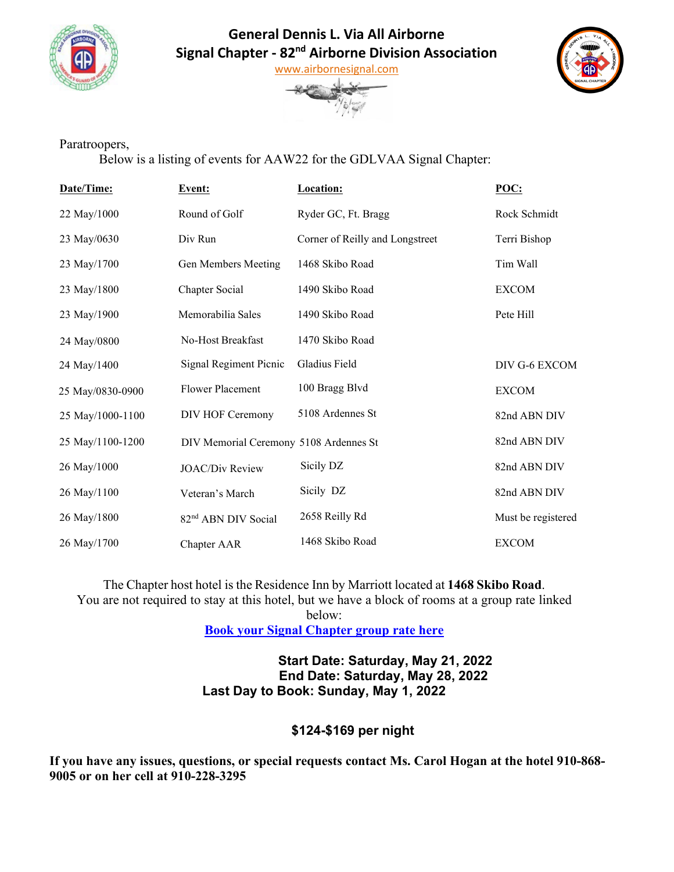

## **General Dennis L. Via All Airborne Signal Chapter - 82nd Airborne Division Association**





## Paratroopers,

Below is a listing of events for AAW22 for the GDLVAA Signal Chapter:

| Date/Time:       | Event:                                 | Location:                       | POC:               |
|------------------|----------------------------------------|---------------------------------|--------------------|
| 22 May/1000      | Round of Golf                          | Ryder GC, Ft. Bragg             | Rock Schmidt       |
| 23 May/0630      | Div Run                                | Corner of Reilly and Longstreet | Terri Bishop       |
| 23 May/1700      | Gen Members Meeting                    | 1468 Skibo Road                 | Tim Wall           |
| 23 May/1800      | Chapter Social                         | 1490 Skibo Road                 | <b>EXCOM</b>       |
| 23 May/1900      | Memorabilia Sales                      | 1490 Skibo Road                 | Pete Hill          |
| 24 May/0800      | No-Host Breakfast                      | 1470 Skibo Road                 |                    |
| 24 May/1400      | Signal Regiment Picnic                 | Gladius Field                   | DIV G-6 EXCOM      |
| 25 May/0830-0900 | <b>Flower Placement</b>                | 100 Bragg Blvd                  | <b>EXCOM</b>       |
| 25 May/1000-1100 | DIV HOF Ceremony                       | 5108 Ardennes St                | 82nd ABN DIV       |
| 25 May/1100-1200 | DIV Memorial Ceremony 5108 Ardennes St |                                 | 82nd ABN DIV       |
| 26 May/1000      | <b>JOAC/Div Review</b>                 | Sicily DZ                       | 82nd ABN DIV       |
| 26 May/1100      | Veteran's March                        | Sicily DZ                       | 82nd ABN DIV       |
| 26 May/1800      | 82 <sup>nd</sup> ABN DIV Social        | 2658 Reilly Rd                  | Must be registered |
| 26 May/1700      | Chapter AAR                            | 1468 Skibo Road                 | <b>EXCOM</b>       |

The Chapter host hotel is the Residence Inn by Marriott located at **1468 Skibo Road**. You are not required to stay at this hotel, but we have a block of rooms at a group rate linked

below:

**[Book your Signal Chapter group rate here](about:blank)**

**Start Date: Saturday, May 21, 2022 End Date: Saturday, May 28, 2022 Last Day to Book: Sunday, May 1, 2022**

## **\$124-\$169 per night**

**If you have any issues, questions, or special requests contact Ms. Carol Hogan at the hotel 910-868- 9005 or on her cell at 910-228-3295**